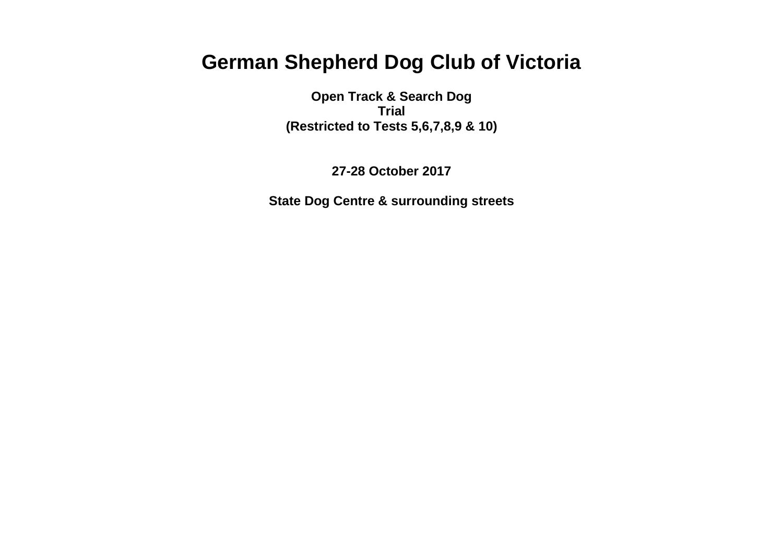# **German Shepherd Dog Club of Victoria**

**Open Track & Search Dog Trial (Restricted to Tests 5,6,7,8,9 & 10)**

**27-28 October 2017**

**State Dog Centre & surrounding streets**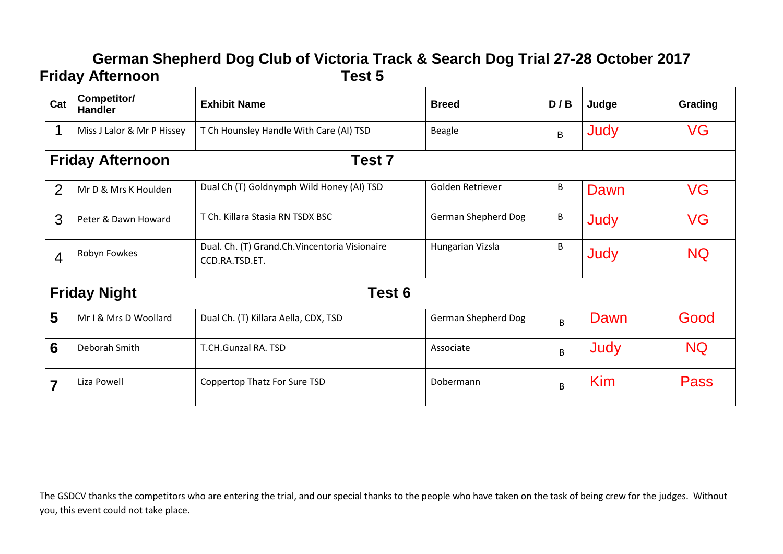## **German Shepherd Dog Club of Victoria Track & Search Dog Trial 27-28 October 2017 Friday Afternoon Test 5**

| Cat            | Competitor/<br><b>Handler</b>                | <b>Exhibit Name</b>                                             | <b>Breed</b>               | D/B | Judge | Grading   |  |
|----------------|----------------------------------------------|-----------------------------------------------------------------|----------------------------|-----|-------|-----------|--|
|                | Miss J Lalor & Mr P Hissey                   | T Ch Hounsley Handle With Care (AI) TSD                         | Beagle                     | B   | Judy  | VG        |  |
|                | Test <sub>7</sub><br><b>Friday Afternoon</b> |                                                                 |                            |     |       |           |  |
| 2              | Mr D & Mrs K Houlden                         | Dual Ch (T) Goldnymph Wild Honey (AI) TSD                       | Golden Retriever           | B   | Dawn  | <b>VG</b> |  |
| 3              | Peter & Dawn Howard                          | T Ch. Killara Stasia RN TSDX BSC                                | <b>German Shepherd Dog</b> | B   | Judy  | <b>VG</b> |  |
| $\overline{4}$ | Robyn Fowkes                                 | Dual. Ch. (T) Grand.Ch.Vincentoria Visionaire<br>CCD.RA.TSD.ET. | Hungarian Vizsla           | B   | Judy  | <b>NQ</b> |  |
|                | <b>Friday Night</b><br>Test 6                |                                                                 |                            |     |       |           |  |
| 5              | Mr I & Mrs D Woollard                        | Dual Ch. (T) Killara Aella, CDX, TSD                            | <b>German Shepherd Dog</b> | B   | Dawn  | Good      |  |
| 6              | Deborah Smith                                | T.CH.Gunzal RA. TSD                                             | Associate                  | B   | Judy  | <b>NQ</b> |  |
| 7              | Liza Powell                                  | Coppertop Thatz For Sure TSD                                    | Dobermann                  | B   | Kim   | Pass      |  |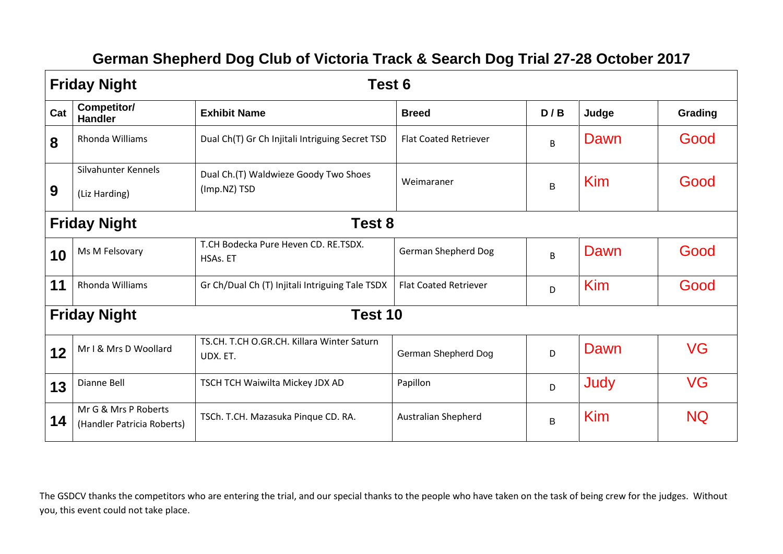## **German Shepherd Dog Club of Victoria Track & Search Dog Trial 27-28 October 2017**

|     | <b>Friday Night</b><br>Test 6                      |                                                        |                              |             |            |           |  |
|-----|----------------------------------------------------|--------------------------------------------------------|------------------------------|-------------|------------|-----------|--|
| Cat | Competitor/<br><b>Handler</b>                      | <b>Exhibit Name</b>                                    | <b>Breed</b>                 | D/B         | Judge      | Grading   |  |
| 8   | Rhonda Williams                                    | Dual Ch(T) Gr Ch Injitali Intriguing Secret TSD        | <b>Flat Coated Retriever</b> | B           | Dawn       | Good      |  |
| 9   | Silvahunter Kennels<br>(Liz Harding)               | Dual Ch.(T) Waldwieze Goody Two Shoes<br>(Imp.NZ) TSD  | Weimaraner                   | $\mathsf B$ | <b>Kim</b> | Good      |  |
|     | Test 8<br><b>Friday Night</b>                      |                                                        |                              |             |            |           |  |
| 10  | Ms M Felsovary                                     | T.CH Bodecka Pure Heven CD. RE.TSDX.<br>HSAs. ET       | <b>German Shepherd Dog</b>   | B           | Dawn       | Good      |  |
| 11  | Rhonda Williams                                    | Gr Ch/Dual Ch (T) Injitali Intriguing Tale TSDX        | <b>Flat Coated Retriever</b> | D           | <b>Kim</b> | Good      |  |
|     | Test 10<br><b>Friday Night</b>                     |                                                        |                              |             |            |           |  |
| 12  | Mr I & Mrs D Woollard                              | TS.CH. T.CH O.GR.CH. Killara Winter Saturn<br>UDX. ET. | German Shepherd Dog          | D           | Dawn       | <b>VG</b> |  |
| 13  | Dianne Bell                                        | TSCH TCH Waiwilta Mickey JDX AD                        | Papillon                     | D           | Judy       | VG        |  |
| 14  | Mr G & Mrs P Roberts<br>(Handler Patricia Roberts) | TSCh. T.CH. Mazasuka Pinque CD. RA.                    | <b>Australian Shepherd</b>   | B           | <b>Kim</b> | <b>NQ</b> |  |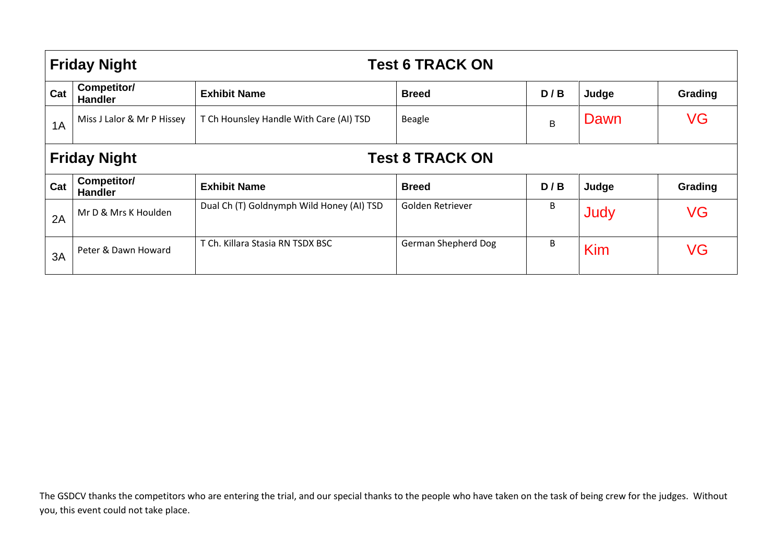|     | <b>Friday Night</b>                           |                                           | <b>Test 6 TRACK ON</b> |     |       |         |  |  |
|-----|-----------------------------------------------|-------------------------------------------|------------------------|-----|-------|---------|--|--|
| Cat | Competitor/<br><b>Handler</b>                 | <b>Exhibit Name</b>                       | <b>Breed</b>           | D/B | Judge | Grading |  |  |
| 1A  | Miss J Lalor & Mr P Hissey                    | T Ch Hounsley Handle With Care (AI) TSD   | <b>Beagle</b>          | B   | Dawn  | VG      |  |  |
|     | <b>Friday Night</b><br><b>Test 8 TRACK ON</b> |                                           |                        |     |       |         |  |  |
| Cat | Competitor/<br><b>Handler</b>                 | <b>Exhibit Name</b>                       | <b>Breed</b>           | D/B | Judge | Grading |  |  |
| 2A  | Mr D & Mrs K Houlden                          | Dual Ch (T) Goldnymph Wild Honey (AI) TSD | Golden Retriever       | B   | Judy  | VG      |  |  |
| 3A  | Peter & Dawn Howard                           | T Ch. Killara Stasia RN TSDX BSC          | German Shepherd Dog    | B   | Kim   | VG      |  |  |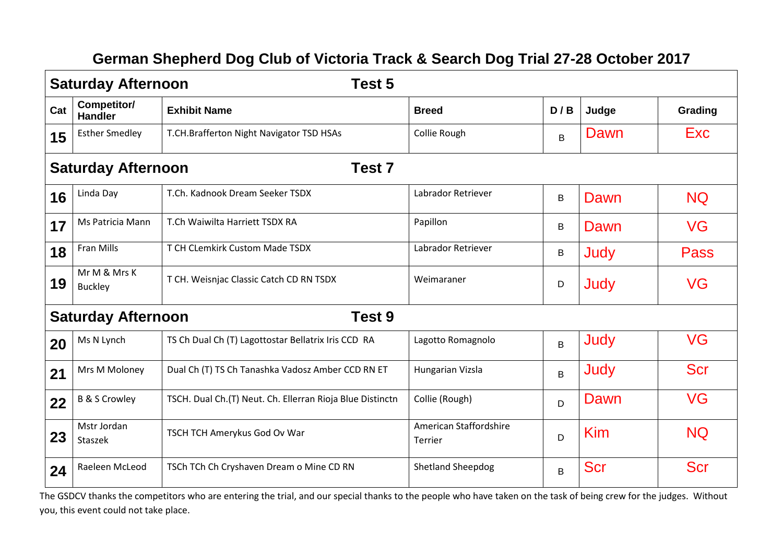## **German Shepherd Dog Club of Victoria Track & Search Dog Trial 27-28 October 2017**

|     | <b>Saturday Afternoon</b><br>Test 5            |                                                           |                                          |         |            |             |  |  |
|-----|------------------------------------------------|-----------------------------------------------------------|------------------------------------------|---------|------------|-------------|--|--|
| Cat | Competitor/<br><b>Handler</b>                  | <b>Exhibit Name</b>                                       | <b>Breed</b>                             | D/B     | Judge      | Grading     |  |  |
| 15  | <b>Esther Smedley</b>                          | T.CH.Brafferton Night Navigator TSD HSAs                  | Collie Rough                             | B       | Dawn       | Exc         |  |  |
|     | Test <sub>7</sub><br><b>Saturday Afternoon</b> |                                                           |                                          |         |            |             |  |  |
| 16  | Linda Day                                      | T.Ch. Kadnook Dream Seeker TSDX                           | Labrador Retriever                       | B       | Dawn       | <b>NQ</b>   |  |  |
| 17  | Ms Patricia Mann                               | T.Ch Waiwilta Harriett TSDX RA                            | Papillon                                 | B       | Dawn       | VG          |  |  |
| 18  | Fran Mills                                     | T CH CLemkirk Custom Made TSDX                            | Labrador Retriever                       | $\sf B$ | Judy       | <b>Pass</b> |  |  |
| 19  | Mr M & Mrs K<br><b>Buckley</b>                 | T CH. Weisnjac Classic Catch CD RN TSDX                   | Weimaraner                               | D       | Judy       | VG          |  |  |
|     | <b>Saturday Afternoon</b>                      | Test 9                                                    |                                          |         |            |             |  |  |
| 20  | Ms N Lynch                                     | TS Ch Dual Ch (T) Lagottostar Bellatrix Iris CCD RA       | Lagotto Romagnolo                        | B       | Judy       | <b>VG</b>   |  |  |
| 21  | Mrs M Moloney                                  | Dual Ch (T) TS Ch Tanashka Vadosz Amber CCD RN ET         | Hungarian Vizsla                         | B       | Judy       | <b>Scr</b>  |  |  |
| 22  | <b>B &amp; S Crowley</b>                       | TSCH. Dual Ch.(T) Neut. Ch. Ellerran Rioja Blue Distinctn | Collie (Rough)                           | D       | Dawn       | VG          |  |  |
| 23  | Mstr Jordan<br>Staszek                         | TSCH TCH Amerykus God Ov War                              | American Staffordshire<br><b>Terrier</b> | D       | Kim        | <b>NQ</b>   |  |  |
| 24  | Raeleen McLeod                                 | TSCh TCh Ch Cryshaven Dream o Mine CD RN                  | <b>Shetland Sheepdog</b>                 | B       | <b>Scr</b> | <b>Scr</b>  |  |  |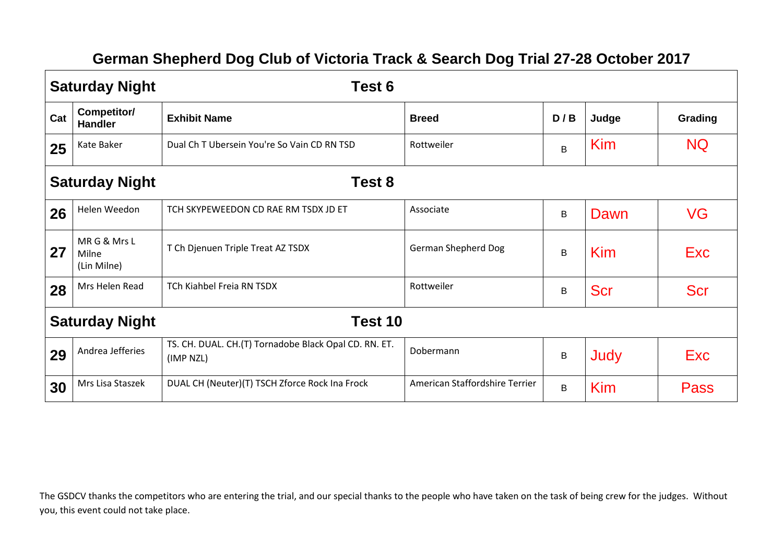## **German Shepherd Dog Club of Victoria Track & Search Dog Trial 27-28 October 2017**

|     | <b>Saturday Night</b>               | Test 6                                                             |                                |     |            |             |  |
|-----|-------------------------------------|--------------------------------------------------------------------|--------------------------------|-----|------------|-------------|--|
| Cat | Competitor/<br><b>Handler</b>       | <b>Exhibit Name</b>                                                | <b>Breed</b>                   | D/B | Judge      | Grading     |  |
| 25  | Kate Baker                          | Dual Ch T Ubersein You're So Vain CD RN TSD                        | Rottweiler                     | B   | Kim        | <b>NQ</b>   |  |
|     | <b>Saturday Night</b><br>Test 8     |                                                                    |                                |     |            |             |  |
| 26  | Helen Weedon                        | TCH SKYPEWEEDON CD RAE RM TSDX JD ET                               | Associate                      | B   | Dawn       | VG          |  |
| 27  | MRG & Mrs L<br>Milne<br>(Lin Milne) | T Ch Djenuen Triple Treat AZ TSDX                                  | <b>German Shepherd Dog</b>     | B   | Kim        | <b>Exc</b>  |  |
| 28  | Mrs Helen Read                      | TCh Kiahbel Freia RN TSDX                                          | Rottweiler                     | B   | <b>Scr</b> | <b>Scr</b>  |  |
|     | Test 10<br><b>Saturday Night</b>    |                                                                    |                                |     |            |             |  |
| 29  | Andrea Jefferies                    | TS. CH. DUAL. CH.(T) Tornadobe Black Opal CD. RN. ET.<br>(IMP NZL) | Dobermann                      | B   | Judy       | Exc         |  |
| 30  | Mrs Lisa Staszek                    | DUAL CH (Neuter)(T) TSCH Zforce Rock Ina Frock                     | American Staffordshire Terrier | B   | Kim        | <b>Pass</b> |  |